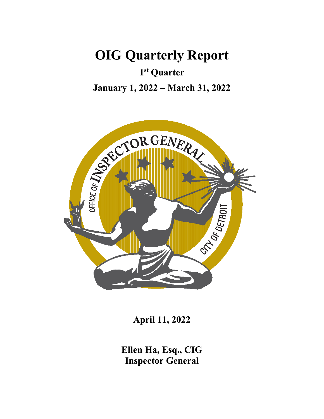**OIG Quarterly Report**

**1st Quarter**

**January 1, 2022 – March 31, 2022**



**April 11, 2022**

**Ellen Ha, Esq., CIG Inspector General**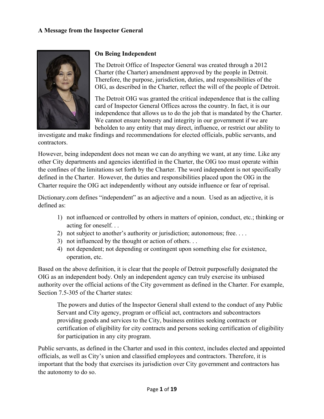#### **A Message from the Inspector General**



#### **On Being Independent**

The Detroit Office of Inspector General was created through a 2012 Charter (the Charter) amendment approved by the people in Detroit. Therefore, the purpose, jurisdiction, duties, and responsibilities of the OIG, as described in the Charter, reflect the will of the people of Detroit.

The Detroit OIG was granted the critical independence that is the calling card of Inspector General Offices across the country. In fact, it is our independence that allows us to do the job that is mandated by the Charter. We cannot ensure honesty and integrity in our government if we are beholden to any entity that may direct, influence, or restrict our ability to

investigate and make findings and recommendations for elected officials, public servants, and contractors.

However, being independent does not mean we can do anything we want, at any time. Like any other City departments and agencies identified in the Charter, the OIG too must operate within the confines of the limitations set forth by the Charter. The word independent is not specifically defined in the Charter. However, the duties and responsibilities placed upon the OIG in the Charter require the OIG act independently without any outside influence or fear of reprisal.

Dictionary.com defines "independent" as an adjective and a noun. Used as an adjective, it is defined as:

- 1) not influenced or controlled by others in matters of opinion, conduct, etc.; thinking or acting for oneself. . .
- 2) not subject to another's authority or jurisdiction; autonomous; free. . . .
- 3) not influenced by the thought or action of others. . .
- 4) not dependent; not depending or contingent upon something else for existence, operation, etc.

Based on the above definition, it is clear that the people of Detroit purposefully designated the OIG as an independent body. Only an independent agency can truly exercise its unbiased authority over the official actions of the City government as defined in the Charter. For example, Section 7.5-305 of the Charter states:

The powers and duties of the Inspector General shall extend to the conduct of any Public Servant and City agency, program or official act, contractors and subcontractors providing goods and services to the City, business entities seeking contracts or certification of eligibility for city contracts and persons seeking certification of eligibility for participation in any city program.

Public servants, as defined in the Charter and used in this context, includes elected and appointed officials, as well as City's union and classified employees and contractors. Therefore, it is important that the body that exercises its jurisdiction over City government and contractors has the autonomy to do so.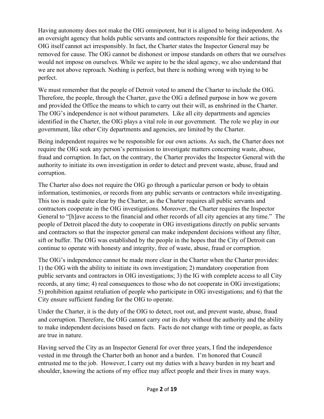Having autonomy does not make the OIG omnipotent, but it is aligned to being independent. As an oversight agency that holds public servants and contractors responsible for their actions, the OIG itself cannot act irresponsibly. In fact, the Charter states the Inspector General may be removed for cause. The OIG cannot be dishonest or impose standards on others that we ourselves would not impose on ourselves. While we aspire to be the ideal agency, we also understand that we are not above reproach. Nothing is perfect, but there is nothing wrong with trying to be perfect.

We must remember that the people of Detroit voted to amend the Charter to include the OIG. Therefore, the people, through the Charter, gave the OIG a defined purpose in how we govern and provided the Office the means to which to carry out their will, as enshrined in the Charter. The OIG's independence is not without parameters. Like all city departments and agencies identified in the Charter, the OIG plays a vital role in our government. The role we play in our government, like other City departments and agencies, are limited by the Charter.

Being independent requires we be responsible for our own actions. As such, the Charter does not require the OIG seek any person's permission to investigate matters concerning waste, abuse, fraud and corruption. In fact, on the contrary, the Charter provides the Inspector General with the authority to initiate its own investigation in order to detect and prevent waste, abuse, fraud and corruption.

The Charter also does not require the OIG go through a particular person or body to obtain information, testimonies, or records from any public servants or contractors while investigating. This too is made quite clear by the Charter, as the Charter requires all public servants and contractors cooperate in the OIG investigations. Moreover, the Charter requires the Inspector General to "[h]ave access to the financial and other records of all city agencies at any time." The people of Detroit placed the duty to cooperate in OIG investigations directly on public servants and contractors so that the inspector general can make independent decisions without any filter, sift or buffer. The OIG was established by the people in the hopes that the City of Detroit can continue to operate with honesty and integrity, free of waste, abuse, fraud or corruption.

The OIG's independence cannot be made more clear in the Charter when the Charter provides: 1) the OIG with the ability to initiate its own investigation; 2) mandatory cooperation from public servants and contractors in OIG investigations; 3) the IG with complete access to all City records, at any time; 4) real consequences to those who do not cooperate in OIG investigations; 5) prohibition against retaliation of people who participate in OIG investigations; and 6) that the City ensure sufficient funding for the OIG to operate.

Under the Charter, it is the duty of the OIG to detect, root out, and prevent waste, abuse, fraud and corruption. Therefore, the OIG cannot carry out its duty without the authority and the ability to make independent decisions based on facts. Facts do not change with time or people, as facts are true in nature.

Having served the City as an Inspector General for over three years, I find the independence vested in me through the Charter both an honor and a burden. I'm honored that Council entrusted me to the job. However, I carry out my duties with a heavy burden in my heart and shoulder, knowing the actions of my office may affect people and their lives in many ways.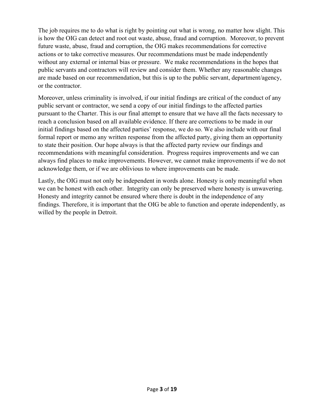The job requires me to do what is right by pointing out what is wrong, no matter how slight. This is how the OIG can detect and root out waste, abuse, fraud and corruption. Moreover, to prevent future waste, abuse, fraud and corruption, the OIG makes recommendations for corrective actions or to take corrective measures. Our recommendations must be made independently without any external or internal bias or pressure. We make recommendations in the hopes that public servants and contractors will review and consider them. Whether any reasonable changes are made based on our recommendation, but this is up to the public servant, department/agency, or the contractor.

Moreover, unless criminality is involved, if our initial findings are critical of the conduct of any public servant or contractor, we send a copy of our initial findings to the affected parties pursuant to the Charter. This is our final attempt to ensure that we have all the facts necessary to reach a conclusion based on all available evidence. If there are corrections to be made in our initial findings based on the affected parties' response, we do so. We also include with our final formal report or memo any written response from the affected party, giving them an opportunity to state their position. Our hope always is that the affected party review our findings and recommendations with meaningful consideration. Progress requires improvements and we can always find places to make improvements. However, we cannot make improvements if we do not acknowledge them, or if we are oblivious to where improvements can be made.

Lastly, the OIG must not only be independent in words alone. Honesty is only meaningful when we can be honest with each other. Integrity can only be preserved where honesty is unwavering. Honesty and integrity cannot be ensured where there is doubt in the independence of any findings. Therefore, it is important that the OIG be able to function and operate independently, as willed by the people in Detroit.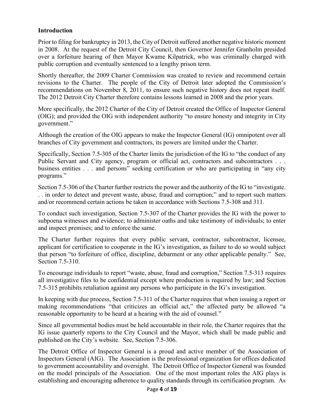#### **Introduction**

Prior to filing for bankruptcy in 2013, the City of Detroit suffered another negative historic moment in 2008. At the request of the Detroit City Council, then Governor Jennifer Granholm presided over a forfeiture hearing of then Mayor Kwame Kilpatrick, who was criminally charged with public corruption and eventually sentenced to a lengthy prison term.

Shortly thereafter, the 2009 Charter Commission was created to review and recommend certain revisions to the Charter. The people of the City of Detroit later adopted the Commission's recommendations on November 8, 2011, to ensure such negative history does not repeat itself. The 2012 Detroit City Charter therefore contains lessons learned in 2008 and the prior years.

More specifically, the 2012 Charter of the City of Detroit created the Office of Inspector General (OIG); and provided the OIG with independent authority "to ensure honesty and integrity in City government."

Although the creation of the OIG appears to make the Inspector General (IG) omnipotent over all branches of City government and contractors, its powers are limited under the Charter.

Specifically, Section 7.5-305 of the Charter limits the jurisdiction of the IG to "the conduct of any Public Servant and City agency, program or official act, contractors and subcontractors . . . business entities . . . and persons" seeking certification or who are participating in "any city programs."

Section 7.5-306 of the Charter further restricts the power and the authority of the IG to "investigate. . . in order to detect and prevent waste, abuse, fraud and corruption;" and to report such matters and/or recommend certain actions be taken in accordance with Sections 7.5-308 and 311.

To conduct such investigation, Section 7.5-307 of the Charter provides the IG with the power to subpoena witnesses and evidence; to administer oaths and take testimony of individuals; to enter and inspect premises; and to enforce the same.

The Charter further requires that every public servant, contractor, subcontractor, licensee, applicant for certification to cooperate in the IG's investigation, as failure to do so would subject that person "to forfeiture of office, discipline, debarment or any other applicable penalty." See, Section 7.5-310.

To encourage individuals to report "waste, abuse, fraud and corruption," Section 7.5-313 requires all investigative files to be confidential except where production is required by law; and Section 7.5-315 prohibits retaliation against any persons who participate in the IG's investigation.

In keeping with due process, Section 7.5-311 of the Charter requires that when issuing a report or making recommendations "that criticizes an official act," the affected party be allowed "a reasonable opportunity to be heard at a hearing with the aid of counsel."

Since all governmental bodies must be held accountable in their role, the Charter requires that the IG issue quarterly reports to the City Council and the Mayor, which shall be made public and published on the City's website. See, Section 7.5-306.

The Detroit Office of Inspector General is a proud and active member of the Association of Inspectors General (AIG). The Association is the professional organization for offices dedicated to government accountability and oversight. The Detroit Office of Inspector General was founded on the model principals of the Association. One of the most important roles the AIG plays is establishing and encouraging adherence to quality standards through its certification program. As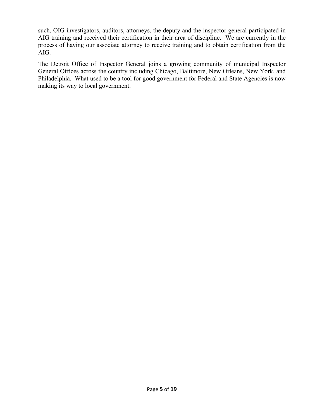such, OIG investigators, auditors, attorneys, the deputy and the inspector general participated in AIG training and received their certification in their area of discipline. We are currently in the process of having our associate attorney to receive training and to obtain certification from the AIG.

The Detroit Office of Inspector General joins a growing community of municipal Inspector General Offices across the country including Chicago, Baltimore, New Orleans, New York, and Philadelphia. What used to be a tool for good government for Federal and State Agencies is now making its way to local government.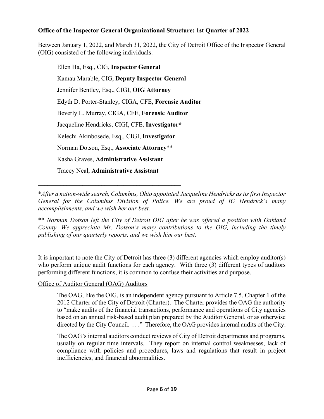## **Office of the Inspector General Organizational Structure: 1st Quarter of 2022**

Between January 1, 2022, and March 31, 2022, the City of Detroit Office of the Inspector General (OIG) consisted of the following individuals:

Ellen Ha, Esq., CIG, **Inspector General** Kamau Marable, CIG, **Deputy Inspector General** Jennifer Bentley, Esq., CIGI, **OIG Attorney** Edyth D. Porter-Stanley, CIGA, CFE, **Forensic Auditor** Beverly L. Murray, CIGA, CFE, **Forensic Auditor** Jacqueline Hendricks, CIGI, CFE, **Investigator\*** Kelechi Akinbosede, Esq., CIGI, **Investigator** Norman Dotson, Esq., **Associate Attorney**\*\* Kasha Graves, **Administrative Assistant** Tracey Neal, **Administrative Assistant**

**\_\_\_\_\_\_\_\_\_\_\_\_\_\_\_\_\_\_\_\_\_\_\_\_\_\_\_\_\_\_\_\_\_\_\_\_\_\_\_\_\_\_\_\_\_**

\**After a nation-wide search, Columbus, Ohio appointed Jacqueline Hendricks as its first Inspector General for the Columbus Division of Police. We are proud of IG Hendrick's many accomplishments, and we wish her our best.*

\*\* *Norman Dotson left the City of Detroit OIG after he was offered a position with Oakland County. We appreciate Mr. Dotson's many contributions to the OIG, including the timely publishing of our quarterly reports, and we wish him our best*.

It is important to note the City of Detroit has three (3) different agencies which employ auditor(s) who perform unique audit functions for each agency. With three (3) different types of auditors performing different functions, it is common to confuse their activities and purpose.

#### Office of Auditor General (OAG) Auditors

The OAG, like the OIG, is an independent agency pursuant to Article 7.5, Chapter 1 of the 2012 Charter of the City of Detroit (Charter). The Charter provides the OAG the authority to "make audits of the financial transactions, performance and operations of City agencies based on an annual risk-based audit plan prepared by the Auditor General, or as otherwise directed by the City Council. . . ." Therefore, the OAG provides internal audits of the City.

The OAG's internal auditors conduct reviews of City of Detroit departments and programs, usually on regular time intervals. They report on internal control weaknesses, lack of compliance with policies and procedures, laws and regulations that result in project inefficiencies, and financial abnormalities.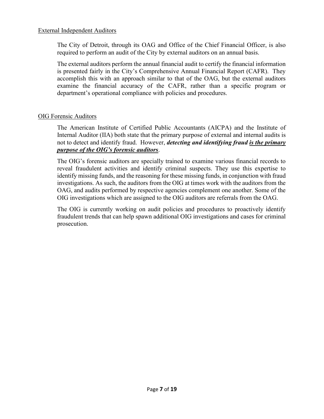#### External Independent Auditors

The City of Detroit, through its OAG and Office of the Chief Financial Officer, is also required to perform an audit of the City by external auditors on an annual basis.

The external auditors perform the annual financial audit to certify the financial information is presented fairly in the City's Comprehensive Annual Financial Report (CAFR). They accomplish this with an approach similar to that of the OAG, but the external auditors examine the financial accuracy of the CAFR, rather than a specific program or department's operational compliance with policies and procedures.

#### OIG Forensic Auditors

The American Institute of Certified Public Accountants (AICPA) and the Institute of Internal Auditor (IIA) both state that the primary purpose of external and internal audits is not to detect and identify fraud. However, *detecting and identifying fraud is the primary purpose of the OIG's forensic auditors*.

The OIG's forensic auditors are specially trained to examine various financial records to reveal fraudulent activities and identify criminal suspects. They use this expertise to identify missing funds, and the reasoning for these missing funds, in conjunction with fraud investigations. As such, the auditors from the OIG at times work with the auditors from the OAG, and audits performed by respective agencies complement one another. Some of the OIG investigations which are assigned to the OIG auditors are referrals from the OAG.

The OIG is currently working on audit policies and procedures to proactively identify fraudulent trends that can help spawn additional OIG investigations and cases for criminal prosecution.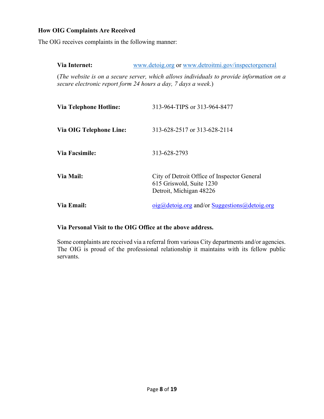# **How OIG Complaints Are Received**

The OIG receives complaints in the following manner:

| Via Internet:                                                                                                                                             | www.detoig.org or www.detroitmi.gov/inspectorgeneral                                               |  |
|-----------------------------------------------------------------------------------------------------------------------------------------------------------|----------------------------------------------------------------------------------------------------|--|
| (The website is on a secure server, which allows individuals to provide information on a<br>secure electronic report form 24 hours a day, 7 days a week.) |                                                                                                    |  |
| Via Telephone Hotline:                                                                                                                                    | 313-964-TIPS or 313-964-8477                                                                       |  |
| Via OIG Telephone Line:                                                                                                                                   | 313-628-2517 or 313-628-2114                                                                       |  |
| <b>Via Facsimile:</b>                                                                                                                                     | 313-628-2793                                                                                       |  |
| Via Mail:                                                                                                                                                 | City of Detroit Office of Inspector General<br>615 Griswold, Suite 1230<br>Detroit, Michigan 48226 |  |
| Via Email:                                                                                                                                                | $oig@{\text{detoig.org}}$ and/or Suggestions @ detoig.org                                          |  |

### **Via Personal Visit to the OIG Office at the above address.**

Some complaints are received via a referral from various City departments and/or agencies. The OIG is proud of the professional relationship it maintains with its fellow public servants.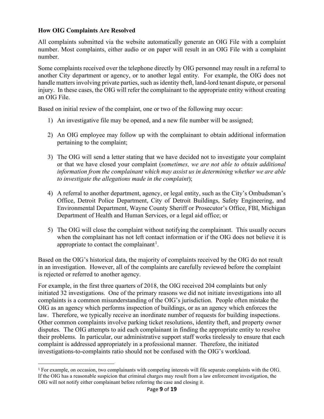#### **How OIG Complaints Are Resolved**

All complaints submitted via the website automatically generate an OIG File with a complaint number. Most complaints, either audio or on paper will result in an OIG File with a complaint number.

Some complaints received over the telephone directly by OIG personnel may result in a referral to another City department or agency, or to another legal entity. For example, the OIG does not handle matters involving private parties, such as identity theft, land-lord tenant dispute, or personal injury. In these cases, the OIG will refer the complainant to the appropriate entity without creating an OIG File.

Based on initial review of the complaint, one or two of the following may occur:

- 1) An investigative file may be opened, and a new file number will be assigned;
- 2) An OIG employee may follow up with the complainant to obtain additional information pertaining to the complaint;
- 3) The OIG will send a letter stating that we have decided not to investigate your complaint or that we have closed your complaint (*sometimes, we are not able to obtain additional information from the complainant which may assist us in determining whether we are able to investigate the allegations made in the complaint*);
- 4) A referral to another department, agency, or legal entity, such as the City's Ombudsman's Office, Detroit Police Department, City of Detroit Buildings, Safety Engineering, and Environmental Department, Wayne County Sheriff or Prosecutor's Office, FBI, Michigan Department of Health and Human Services, or a legal aid office; or
- 5) The OIG will close the complaint without notifying the complainant. This usually occurs when the complainant has not left contact information or if the OIG does not believe it is appropriate to contact the complainant<sup>[1](#page-9-0)</sup>.

Based on the OIG's historical data, the majority of complaints received by the OIG do not result in an investigation. However, all of the complaints are carefully reviewed before the complaint is rejected or referred to another agency.

For example, in the first three quarters of 2018, the OIG received 204 complaints but only initiated 32 investigations. One of the primary reasons we did not initiate investigations into all complaints is a common misunderstanding of the OIG's jurisdiction. People often mistake the OIG as an agency which performs inspection of buildings, or as an agency which enforces the law. Therefore, we typically receive an inordinate number of requests for building inspections. Other common complaints involve parking ticket resolutions, identity theft, and property owner disputes. The OIG attempts to aid each complainant in finding the appropriate entity to resolve their problems. In particular, our administrative support staff works tirelessly to ensure that each complaint is addressed appropriately in a professional manner. Therefore, the initiated investigations-to-complaints ratio should not be confused with the OIG's workload.

<span id="page-9-0"></span><sup>1</sup> For example, on occasion, two complainants with competing interests will file separate complaints with the OIG. If the OIG has a reasonable suspicion that criminal charges may result from a law enforcement investigation, the OIG will not notify either complainant before referring the case and closing it.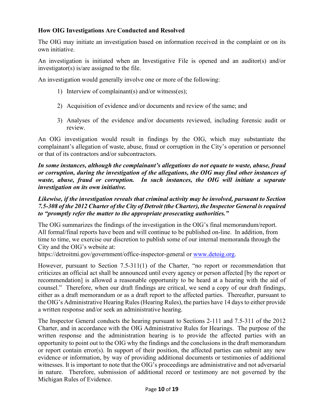## **How OIG Investigations Are Conducted and Resolved**

The OIG may initiate an investigation based on information received in the complaint or on its own initiative.

An investigation is initiated when an Investigative File is opened and an auditor(s) and/or investigator(s) is/are assigned to the file.

An investigation would generally involve one or more of the following:

- 1) Interview of complainant(s) and/or witness(es);
- 2) Acquisition of evidence and/or documents and review of the same; and
- 3) Analyses of the evidence and/or documents reviewed, including forensic audit or review.

An OIG investigation would result in findings by the OIG, which may substantiate the complainant's allegation of waste, abuse, fraud or corruption in the City's operation or personnel or that of its contractors and/or subcontractors.

*In some instances, although the complainant's allegations do not equate to waste, abuse, fraud or corruption, during the investigation of the allegations, the OIG may find other instances of waste, abuse, fraud or corruption. In such instances, the OIG will initiate a separate investigation on its own initiative.* 

#### *Likewise, if the investigation reveals that criminal activity may be involved, pursuant to Section 7.5-308 of the 2012 Charter of the City of Detroit (the Charter), the Inspector General is required to "promptly refer the matter to the appropriate prosecuting authorities."*

The OIG summarizes the findings of the investigation in the OIG's final memorandum/report. All formal/final reports have been and will continue to be published on-line. In addition, from time to time, we exercise our discretion to publish some of our internal memoranda through the City and the OIG's website at:

https://detroitmi.gov/government/office-inspector-general or [www.detoig.org.](http://www.detoig.org/)

However, pursuant to Section 7.5-311(1) of the Charter, "no report or recommendation that criticizes an official act shall be announced until every agency or person affected [by the report or recommendation] is allowed a reasonable opportunity to be heard at a hearing with the aid of counsel." Therefore, when our draft findings are critical, we send a copy of our draft findings, either as a draft memorandum or as a draft report to the affected parties. Thereafter, pursuant to the OIG's Administrative Hearing Rules (Hearing Rules), the parties have 14 days to either provide a written response and/or seek an administrative hearing.

The Inspector General conducts the hearing pursuant to Sections 2-111 and 7.5-311 of the 2012 Charter, and in accordance with the OIG Administrative Rules for Hearings. The purpose of the written response and the administration hearing is to provide the affected parties with an opportunity to point out to the OIG why the findings and the conclusions in the draft memorandum or report contain error(s). In support of their position, the affected parties can submit any new evidence or information, by way of providing additional documents or testimonies of additional witnesses. It is important to note that the OIG's proceedings are administrative and not adversarial in nature. Therefore, submission of additional record or testimony are not governed by the Michigan Rules of Evidence.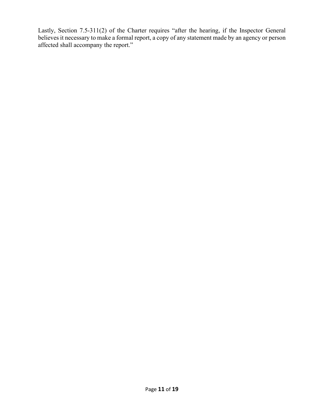Lastly, Section 7.5-311(2) of the Charter requires "after the hearing, if the Inspector General believes it necessary to make a formal report, a copy of any statement made by an agency or person affected shall accompany the report."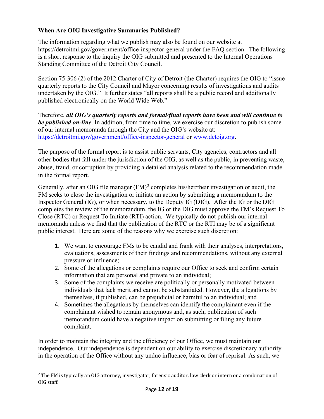## **When Are OIG Investigative Summaries Published?**

The information regarding what we publish may also be found on our website at https://detroitmi.gov/government/office-inspector-general under the FAQ section. The following is a short response to the inquiry the OIG submitted and presented to the Internal Operations Standing Committee of the Detroit City Council.

Section 75-306 (2) of the 2012 Charter of City of Detroit (the Charter) requires the OIG to "issue quarterly reports to the City Council and Mayor concerning results of investigations and audits undertaken by the OIG." It further states "all reports shall be a public record and additionally published electronically on the World Wide Web."

Therefore, *all OIG's quarterly reports and formal/final reports have been and will continue to be published on-line*. In addition, from time to time, we exercise our discretion to publish some of our internal memoranda through the City and the OIG's website at: https://detroitmi.gov/government/office-inspector-general or [www.detoig.org.](http://www.detoig.org/)

The purpose of the formal report is to assist public servants, City agencies, contractors and all other bodies that fall under the jurisdiction of the OIG, as well as the public, in preventing waste, abuse, fraud, or corruption by providing a detailed analysis related to the recommendation made in the formal report.

Generally, after an OIG file manager  $(FM)^2$  $(FM)^2$  completes his/her/their investigation or audit, the FM seeks to close the investigation or initiate an action by submitting a memorandum to the Inspector General (IG), or when necessary, to the Deputy IG (DIG). After the IG or the DIG completes the review of the memorandum, the IG or the DIG must approve the FM's Request To Close (RTC) or Request To Initiate (RTI) action. We typically do not publish our internal memoranda unless we find that the publication of the RTC or the RTI may be of a significant public interest. Here are some of the reasons why we exercise such discretion:

- 1. We want to encourage FMs to be candid and frank with their analyses, interpretations, evaluations, assessments of their findings and recommendations, without any external pressure or influence;
- 2. Some of the allegations or complaints require our Office to seek and confirm certain information that are personal and private to an individual;
- 3. Some of the complaints we receive are politically or personally motivated between individuals that lack merit and cannot be substantiated. However, the allegations by themselves, if published, can be prejudicial or harmful to an individual; and
- 4. Sometimes the allegations by themselves can identify the complainant even if the complainant wished to remain anonymous and, as such, publication of such memorandum could have a negative impact on submitting or filing any future complaint.

In order to maintain the integrity and the efficiency of our Office, we must maintain our independence. Our independence is dependent on our ability to exercise discretionary authority in the operation of the Office without any undue influence, bias or fear of reprisal. As such, we

<span id="page-12-0"></span><sup>&</sup>lt;sup>2</sup> The FM is typically an OIG attorney, investigator, forensic auditor, law clerk or intern or a combination of OIG staff.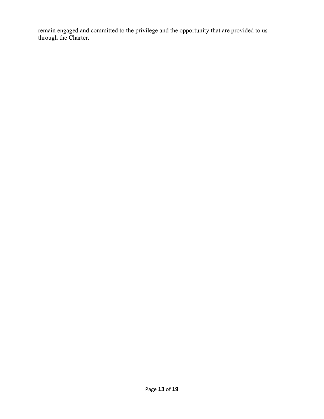remain engaged and committed to the privilege and the opportunity that are provided to us through the Charter.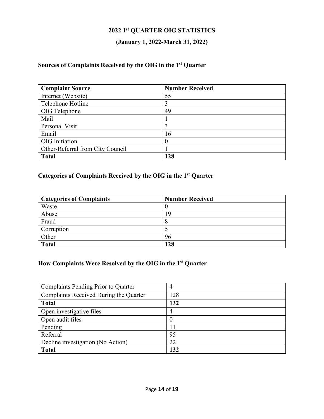# **2022 1st QUARTER OIG STATISTICS**

# **(January 1, 2022-March 31, 2022)**

## **Sources of Complaints Received by the OIG in the 1st Quarter**

| <b>Complaint Source</b>          | <b>Number Received</b> |
|----------------------------------|------------------------|
| Internet (Website)               | 55                     |
| Telephone Hotline                |                        |
| OIG Telephone                    | 49                     |
| Mail                             |                        |
| Personal Visit                   |                        |
| Email                            | 16                     |
| OIG Initiation                   |                        |
| Other-Referral from City Council |                        |
| <b>Total</b>                     | 128                    |

## **Categories of Complaints Received by the OIG in the 1st Quarter**

| <b>Categories of Complaints</b> | <b>Number Received</b> |
|---------------------------------|------------------------|
| Waste                           |                        |
| Abuse                           | 19                     |
| Fraud                           |                        |
| Corruption                      |                        |
| Other                           | 96                     |
| <b>Total</b>                    | 128                    |

# **How Complaints Were Resolved by the OIG in the 1st Quarter**

| Complaints Pending Prior to Quarter    | 4                |
|----------------------------------------|------------------|
| Complaints Received During the Quarter | 128              |
| <b>Total</b>                           | 132              |
| Open investigative files               | 4                |
| Open audit files                       | $\boldsymbol{0}$ |
| Pending                                | 11               |
| Referral                               | 95               |
| Decline investigation (No Action)      | 22               |
| <b>Total</b>                           | 132              |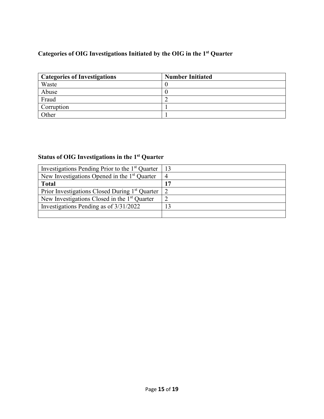# **Categories of OIG Investigations Initiated by the OIG in the 1st Quarter**

| <b>Categories of Investigations</b> | <b>Number Initiated</b> |
|-------------------------------------|-------------------------|
| Waste                               |                         |
| Abuse                               |                         |
| Fraud                               |                         |
| Corruption                          |                         |
| Other                               |                         |

# **Status of OIG Investigations in the 1st Quarter**

| Investigations Pending Prior to the 1 <sup>st</sup> Quarter |                |
|-------------------------------------------------------------|----------------|
| New Investigations Opened in the 1 <sup>st</sup> Quarter    | $\overline{4}$ |
| <b>Total</b>                                                | 17             |
| Prior Investigations Closed During 1 <sup>st</sup> Quarter  |                |
| New Investigations Closed in the 1 <sup>st</sup> Quarter    |                |
| Investigations Pending as of 3/31/2022                      |                |
|                                                             |                |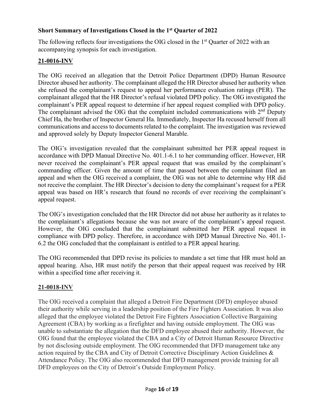## **Short Summary of Investigations Closed in the 1st Quarter of 2022**

The following reflects four investigations the OIG closed in the 1<sup>st</sup> Quarter of 2022 with an accompanying synopsis for each investigation.

## **21-0016-INV**

The OIG received an allegation that the Detroit Police Department (DPD) Human Resource Director abused her authority. The complainant alleged the HR Director abused her authority when she refused the complainant's request to appeal her performance evaluation ratings (PER). The complainant alleged that the HR Director's refusal violated DPD policy. The OIG investigated the complainant's PER appeal request to determine if her appeal request complied with DPD policy. The complainant advised the OIG that the complaint included communications with  $2<sup>nd</sup>$  Deputy Chief Ha, the brother of Inspector General Ha. Immediately, Inspector Ha recused herself from all communications and access to documents related to the complaint. The investigation was reviewed and approved solely by Deputy Inspector General Marable.

The OIG's investigation revealed that the complainant submitted her PER appeal request in accordance with DPD Manual Directive No. 401.1-6.1 to her commanding officer. However, HR never received the complainant's PER appeal request that was emailed by the complainant's commanding officer. Given the amount of time that passed between the complainant filed an appeal and when the OIG received a complaint, the OIG was not able to determine why HR did not receive the complaint. The HR Director's decision to deny the complainant's request for a PER appeal was based on HR's research that found no records of ever receiving the complainant's appeal request.

The OIG's investigation concluded that the HR Director did not abuse her authority as it relates to the complainant's allegations because she was not aware of the complainant's appeal request. However, the OIG concluded that the complainant submitted her PER appeal request in compliance with DPD policy. Therefore, in accordance with DPD Manual Directive No. 401.1- 6.2 the OIG concluded that the complainant is entitled to a PER appeal hearing.

The OIG recommended that DPD revise its policies to mandate a set time that HR must hold an appeal hearing. Also, HR must notify the person that their appeal request was received by HR within a specified time after receiving it.

#### **21-0018-INV**

The OIG received a complaint that alleged a Detroit Fire Department (DFD) employee abused their authority while serving in a leadership position of the Fire Fighters Association. It was also alleged that the employee violated the Detroit Fire Fighters Association Collective Bargaining Agreement (CBA) by working as a firefighter and having outside employment. The OIG was unable to substantiate the allegation that the DFD employee abused their authority. However, the OIG found that the employee violated the CBA and a City of Detroit Human Resource Directive by not disclosing outside employment. The OIG recommended that DFD management take any action required by the CBA and City of Detroit Corrective Disciplinary Action Guidelines & Attendance Policy. The OIG also recommended that DFD management provide training for all DFD employees on the City of Detroit's Outside Employment Policy.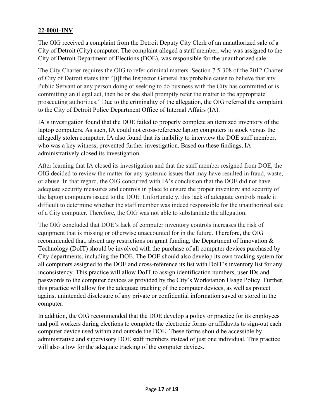# **22-0001-INV**

The OIG received a complaint from the Detroit Deputy City Clerk of an unauthorized sale of a City of Detroit (City) computer. The complaint alleged a staff member, who was assigned to the City of Detroit Department of Elections (DOE), was responsible for the unauthorized sale.

The City Charter requires the OIG to refer criminal matters. Section 7.5-308 of the 2012 Charter of City of Detroit states that "[i]f the Inspector General has probable cause to believe that any Public Servant or any person doing or seeking to do business with the City has committed or is committing an illegal act, then he or she shall promptly refer the matter to the appropriate prosecuting authorities." Due to the criminality of the allegation, the OIG referred the complaint to the City of Detroit Police Department Office of Internal Affairs (IA).

IA's investigation found that the DOE failed to properly complete an itemized inventory of the laptop computers. As such, IA could not cross-reference laptop computers in stock versus the allegedly stolen computer. IA also found that its inability to interview the DOE staff member, who was a key witness, prevented further investigation. Based on these findings, IA administratively closed its investigation.

After learning that IA closed its investigation and that the staff member resigned from DOE, the OIG decided to review the matter for any systemic issues that may have resulted in fraud, waste, or abuse. In that regard, the OIG concurred with IA's conclusion that the DOE did not have adequate security measures and controls in place to ensure the proper inventory and security of the laptop computers issued to the DOE. Unfortunately, this lack of adequate controls made it difficult to determine whether the staff member was indeed responsible for the unauthorized sale of a City computer. Therefore, the OIG was not able to substantiate the allegation.

The OIG concluded that DOE's lack of computer inventory controls increases the risk of equipment that is missing or otherwise unaccounted for in the future. Therefore, the OIG recommended that, absent any restrictions on grant funding, the Department of Innovation & Technology (DoIT) should be involved with the purchase of all computer devices purchased by City departments, including the DOE. The DOE should also develop its own tracking system for all computers assigned to the DOE and cross-reference its list with DoIT's inventory list for any inconsistency. This practice will allow DoIT to assign identification numbers, user IDs and passwords to the computer devices as provided by the City's Workstation Usage Policy. Further, this practice will allow for the adequate tracking of the computer devices, as well as protect against unintended disclosure of any private or confidential information saved or stored in the computer.

In addition, the OIG recommended that the DOE develop a policy or practice for its employees and poll workers during elections to complete the electronic forms or affidavits to sign-out each computer device used within and outside the DOE. These forms should be accessible by administrative and supervisory DOE staff members instead of just one individual. This practice will also allow for the adequate tracking of the computer devices.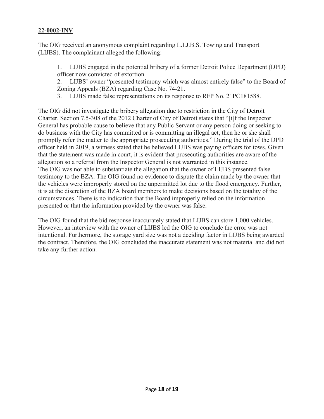### **22-0002-INV**

The OIG received an anonymous complaint regarding L.I.J.B.S. Towing and Transport (LIJBS). The complainant alleged the following:

1. LIJBS engaged in the potential bribery of a former Detroit Police Department (DPD) officer now convicted of extortion.

2. LIJBS' owner "presented testimony which was almost entirely false" to the Board of Zoning Appeals (BZA) regarding Case No. 74-21.

3. LIJBS made false representations on its response to RFP No. 21PC181588.

The OIG did not investigate the bribery allegation due to restriction in the City of Detroit Charter. Section 7.5-308 of the 2012 Charter of City of Detroit states that "[i]f the Inspector General has probable cause to believe that any Public Servant or any person doing or seeking to do business with the City has committed or is committing an illegal act, then he or she shall promptly refer the matter to the appropriate prosecuting authorities." During the trial of the DPD officer held in 2019, a witness stated that he believed LIJBS was paying officers for tows. Given that the statement was made in court, it is evident that prosecuting authorities are aware of the allegation so a referral from the Inspector General is not warranted in this instance. The OIG was not able to substantiate the allegation that the owner of LIJBS presented false testimony to the BZA. The OIG found no evidence to dispute the claim made by the owner that the vehicles were improperly stored on the unpermitted lot due to the flood emergency. Further, it is at the discretion of the BZA board members to make decisions based on the totality of the circumstances. There is no indication that the Board improperly relied on the information presented or that the information provided by the owner was false.

The OIG found that the bid response inaccurately stated that LIJBS can store 1,000 vehicles. However, an interview with the owner of LIJBS led the OIG to conclude the error was not intentional. Furthermore, the storage yard size was not a deciding factor in LIJBS being awarded the contract. Therefore, the OIG concluded the inaccurate statement was not material and did not take any further action.